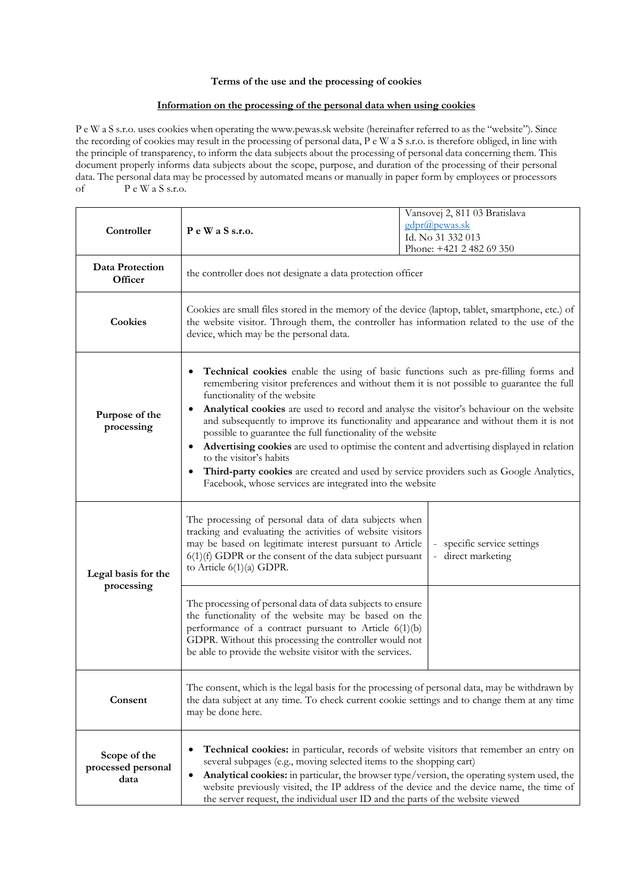## **Terms of the use and the processing of cookies**

## **Information on the processing of the personal data when using cookies**

P e W a S s.r.o. uses cookies when operating the www.pewas.sk website (hereinafter referred to as the "website"). Since the recording of cookies may result in the processing of personal data, P e W a S s.r.o. is therefore obliged, in line with the principle of transparency, to inform the data subjects about the processing of personal data concerning them. This document properly informs data subjects about the scope, purpose, and duration of the processing of their personal data. The personal data may be processed by automated means or manually in paper form by employees or processors of P e W a S s.r.o.

| Controller                                 | PeWaSs.r.o.                                                                                                                                                                                                                                                                                                                                                                                                                                                                                                                                                                                                                                                                                                                                            | Vansovej 2, 811 03 Bratislava<br>gdpr@pewas.sk<br>Id. No 31 332 013<br>Phone: +421 2 482 69 350 |
|--------------------------------------------|--------------------------------------------------------------------------------------------------------------------------------------------------------------------------------------------------------------------------------------------------------------------------------------------------------------------------------------------------------------------------------------------------------------------------------------------------------------------------------------------------------------------------------------------------------------------------------------------------------------------------------------------------------------------------------------------------------------------------------------------------------|-------------------------------------------------------------------------------------------------|
| Data Protection<br>Officer                 | the controller does not designate a data protection officer                                                                                                                                                                                                                                                                                                                                                                                                                                                                                                                                                                                                                                                                                            |                                                                                                 |
| Cookies                                    | Cookies are small files stored in the memory of the device (laptop, tablet, smartphone, etc.) of<br>the website visitor. Through them, the controller has information related to the use of the<br>device, which may be the personal data.                                                                                                                                                                                                                                                                                                                                                                                                                                                                                                             |                                                                                                 |
| Purpose of the<br>processing               | Technical cookies enable the using of basic functions such as pre-filling forms and<br>remembering visitor preferences and without them it is not possible to guarantee the full<br>functionality of the website<br>Analytical cookies are used to record and analyse the visitor's behaviour on the website<br>and subsequently to improve its functionality and appearance and without them it is not<br>possible to guarantee the full functionality of the website<br>Advertising cookies are used to optimise the content and advertising displayed in relation<br>to the visitor's habits<br>Third-party cookies are created and used by service providers such as Google Analytics,<br>Facebook, whose services are integrated into the website |                                                                                                 |
| Legal basis for the<br>processing          | The processing of personal data of data subjects when<br>tracking and evaluating the activities of website visitors<br>may be based on legitimate interest pursuant to Article<br>$6(1)(f)$ GDPR or the consent of the data subject pursuant<br>to Article $6(1)(a)$ GDPR.                                                                                                                                                                                                                                                                                                                                                                                                                                                                             | specific service settings<br>direct marketing                                                   |
|                                            | The processing of personal data of data subjects to ensure<br>the functionality of the website may be based on the<br>performance of a contract pursuant to Article 6(1)(b)<br>GDPR. Without this processing the controller would not<br>be able to provide the website visitor with the services.                                                                                                                                                                                                                                                                                                                                                                                                                                                     |                                                                                                 |
| Consent                                    | The consent, which is the legal basis for the processing of personal data, may be withdrawn by<br>the data subject at any time. To check current cookie settings and to change them at any time<br>may be done here.                                                                                                                                                                                                                                                                                                                                                                                                                                                                                                                                   |                                                                                                 |
| Scope of the<br>processed personal<br>data | Technical cookies: in particular, records of website visitors that remember an entry on<br>several subpages (e.g., moving selected items to the shopping cart)<br>Analytical cookies: in particular, the browser type/version, the operating system used, the<br>٠<br>website previously visited, the IP address of the device and the device name, the time of<br>the server request, the individual user ID and the parts of the website viewed                                                                                                                                                                                                                                                                                                      |                                                                                                 |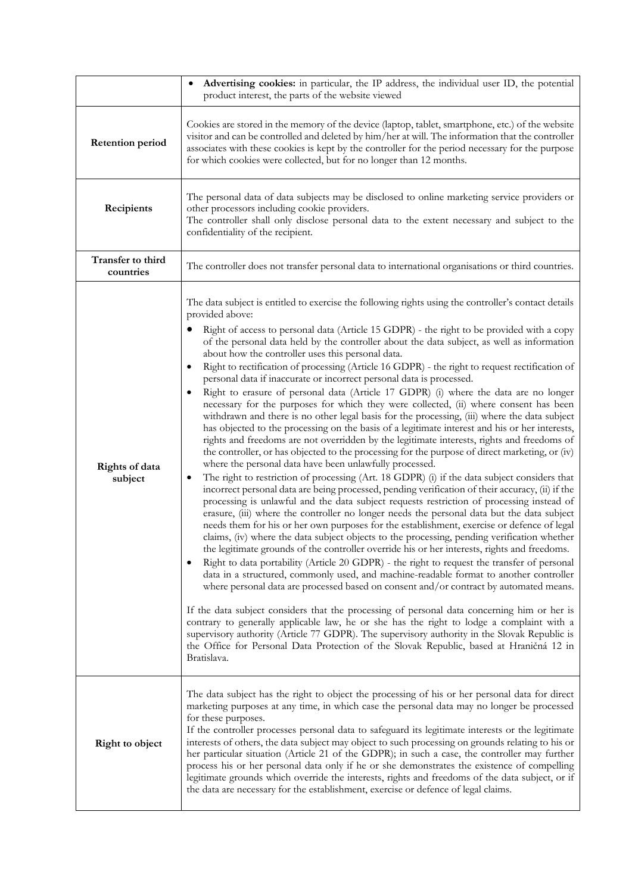|                                | Advertising cookies: in particular, the IP address, the individual user ID, the potential<br>product interest, the parts of the website viewed                                                                                                                                                                                                                                                                                                                                                                                                                                                                                                                                                                                                                                                                                                                                                                                                                                                                                                                                                                                                                                                                                                                                                                                                                                                                                                                                                                                                                                                                                                                                                                                                                                                                                                                                                                                                                                                                                                                                                                                                                                                                                                                                                                                                                                                                                                                                                                                                                                                    |  |
|--------------------------------|---------------------------------------------------------------------------------------------------------------------------------------------------------------------------------------------------------------------------------------------------------------------------------------------------------------------------------------------------------------------------------------------------------------------------------------------------------------------------------------------------------------------------------------------------------------------------------------------------------------------------------------------------------------------------------------------------------------------------------------------------------------------------------------------------------------------------------------------------------------------------------------------------------------------------------------------------------------------------------------------------------------------------------------------------------------------------------------------------------------------------------------------------------------------------------------------------------------------------------------------------------------------------------------------------------------------------------------------------------------------------------------------------------------------------------------------------------------------------------------------------------------------------------------------------------------------------------------------------------------------------------------------------------------------------------------------------------------------------------------------------------------------------------------------------------------------------------------------------------------------------------------------------------------------------------------------------------------------------------------------------------------------------------------------------------------------------------------------------------------------------------------------------------------------------------------------------------------------------------------------------------------------------------------------------------------------------------------------------------------------------------------------------------------------------------------------------------------------------------------------------------------------------------------------------------------------------------------------------|--|
| <b>Retention period</b>        | Cookies are stored in the memory of the device (laptop, tablet, smartphone, etc.) of the website<br>visitor and can be controlled and deleted by him/her at will. The information that the controller<br>associates with these cookies is kept by the controller for the period necessary for the purpose<br>for which cookies were collected, but for no longer than 12 months.                                                                                                                                                                                                                                                                                                                                                                                                                                                                                                                                                                                                                                                                                                                                                                                                                                                                                                                                                                                                                                                                                                                                                                                                                                                                                                                                                                                                                                                                                                                                                                                                                                                                                                                                                                                                                                                                                                                                                                                                                                                                                                                                                                                                                  |  |
| Recipients                     | The personal data of data subjects may be disclosed to online marketing service providers or<br>other processors including cookie providers.<br>The controller shall only disclose personal data to the extent necessary and subject to the<br>confidentiality of the recipient.                                                                                                                                                                                                                                                                                                                                                                                                                                                                                                                                                                                                                                                                                                                                                                                                                                                                                                                                                                                                                                                                                                                                                                                                                                                                                                                                                                                                                                                                                                                                                                                                                                                                                                                                                                                                                                                                                                                                                                                                                                                                                                                                                                                                                                                                                                                  |  |
| Transfer to third<br>countries | The controller does not transfer personal data to international organisations or third countries.                                                                                                                                                                                                                                                                                                                                                                                                                                                                                                                                                                                                                                                                                                                                                                                                                                                                                                                                                                                                                                                                                                                                                                                                                                                                                                                                                                                                                                                                                                                                                                                                                                                                                                                                                                                                                                                                                                                                                                                                                                                                                                                                                                                                                                                                                                                                                                                                                                                                                                 |  |
| Rights of data<br>subject      | The data subject is entitled to exercise the following rights using the controller's contact details<br>provided above:<br>Right of access to personal data (Article 15 GDPR) - the right to be provided with a copy<br>of the personal data held by the controller about the data subject, as well as information<br>about how the controller uses this personal data.<br>Right to rectification of processing (Article 16 GDPR) - the right to request rectification of<br>personal data if inaccurate or incorrect personal data is processed.<br>Right to erasure of personal data (Article 17 GDPR) (i) where the data are no longer<br>necessary for the purposes for which they were collected, (ii) where consent has been<br>withdrawn and there is no other legal basis for the processing, (iii) where the data subject<br>has objected to the processing on the basis of a legitimate interest and his or her interests,<br>rights and freedoms are not overridden by the legitimate interests, rights and freedoms of<br>the controller, or has objected to the processing for the purpose of direct marketing, or (iv)<br>where the personal data have been unlawfully processed.<br>The right to restriction of processing (Art. 18 GDPR) (i) if the data subject considers that<br>$\bullet$<br>incorrect personal data are being processed, pending verification of their accuracy, (ii) if the<br>processing is unlawful and the data subject requests restriction of processing instead of<br>erasure, (iii) where the controller no longer needs the personal data but the data subject<br>needs them for his or her own purposes for the establishment, exercise or defence of legal<br>claims, (iv) where the data subject objects to the processing, pending verification whether<br>the legitimate grounds of the controller override his or her interests, rights and freedoms.<br>Right to data portability (Article 20 GDPR) - the right to request the transfer of personal<br>data in a structured, commonly used, and machine-readable format to another controller<br>where personal data are processed based on consent and/or contract by automated means.<br>If the data subject considers that the processing of personal data concerning him or her is<br>contrary to generally applicable law, he or she has the right to lodge a complaint with a<br>supervisory authority (Article 77 GDPR). The supervisory authority in the Slovak Republic is<br>the Office for Personal Data Protection of the Slovak Republic, based at Hraničná 12 in<br>Bratislava. |  |
| Right to object                | The data subject has the right to object the processing of his or her personal data for direct<br>marketing purposes at any time, in which case the personal data may no longer be processed<br>for these purposes.<br>If the controller processes personal data to safeguard its legitimate interests or the legitimate<br>interests of others, the data subject may object to such processing on grounds relating to his or<br>her particular situation (Article 21 of the GDPR); in such a case, the controller may further<br>process his or her personal data only if he or she demonstrates the existence of compelling<br>legitimate grounds which override the interests, rights and freedoms of the data subject, or if<br>the data are necessary for the establishment, exercise or defence of legal claims.                                                                                                                                                                                                                                                                                                                                                                                                                                                                                                                                                                                                                                                                                                                                                                                                                                                                                                                                                                                                                                                                                                                                                                                                                                                                                                                                                                                                                                                                                                                                                                                                                                                                                                                                                                            |  |